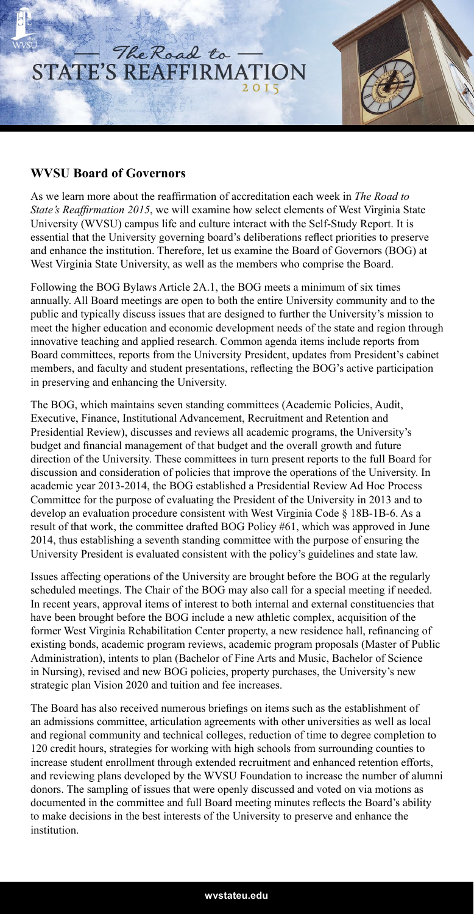

## **WVSU Board of Governors**

As we learn more about the reaffirmation of accreditation each week in *The Road to State's Reaffirmation 2015*, we will examine how select elements of West Virginia State University (WVSU) campus life and culture interact with the Self-Study Report. It is essential that the University governing board's deliberations reflect priorities to preserve and enhance the institution. Therefore, let us examine the Board of Governors (BOG) at West Virginia State University, as well as the members who comprise the Board.

Following the BOG Bylaws Article 2A.1, the BOG meets a minimum of six times annually. All Board meetings are open to both the entire University community and to the public and typically discuss issues that are designed to further the University's mission to meet the higher education and economic development needs of the state and region through innovative teaching and applied research. Common agenda items include reports from Board committees, reports from the University President, updates from President's cabinet members, and faculty and student presentations, reflecting the BOG's active participation in preserving and enhancing the University.

The BOG, which maintains seven standing committees (Academic Policies, Audit, Executive, Finance, Institutional Advancement, Recruitment and Retention and Presidential Review), discusses and reviews all academic programs, the University's budget and financial management of that budget and the overall growth and future direction of the University. These committees in turn present reports to the full Board for discussion and consideration of policies that improve the operations of the University. In academic year 2013-2014, the BOG established a Presidential Review Ad Hoc Process Committee for the purpose of evaluating the President of the University in 2013 and to develop an evaluation procedure consistent with West Virginia Code § 18B-1B-6. As a result of that work, the committee drafted BOG Policy #61, which was approved in June 2014, thus establishing a seventh standing committee with the purpose of ensuring the University President is evaluated consistent with the policy's guidelines and state law.

Issues affecting operations of the University are brought before the BOG at the regularly scheduled meetings. The Chair of the BOG may also call for a special meeting if needed. In recent years, approval items of interest to both internal and external constituencies that have been brought before the BOG include a new athletic complex, acquisition of the former West Virginia Rehabilitation Center property, a new residence hall, refinancing of existing bonds, academic program reviews, academic program proposals (Master of Public Administration), intents to plan (Bachelor of Fine Arts and Music, Bachelor of Science in Nursing), revised and new BOG policies, property purchases, the University's new strategic plan Vision 2020 and tuition and fee increases.

The Board has also received numerous briefings on items such as the establishment of an admissions committee, articulation agreements with other universities as well as local and regional community and technical colleges, reduction of time to degree completion to 120 credit hours, strategies for working with high schools from surrounding counties to increase student enrollment through extended recruitment and enhanced retention efforts, and reviewing plans developed by the WVSU Foundation to increase the number of alumni donors. The sampling of issues that were openly discussed and voted on via motions as documented in the committee and full Board meeting minutes reflects the Board's ability to make decisions in the best interests of the University to preserve and enhance the institution.